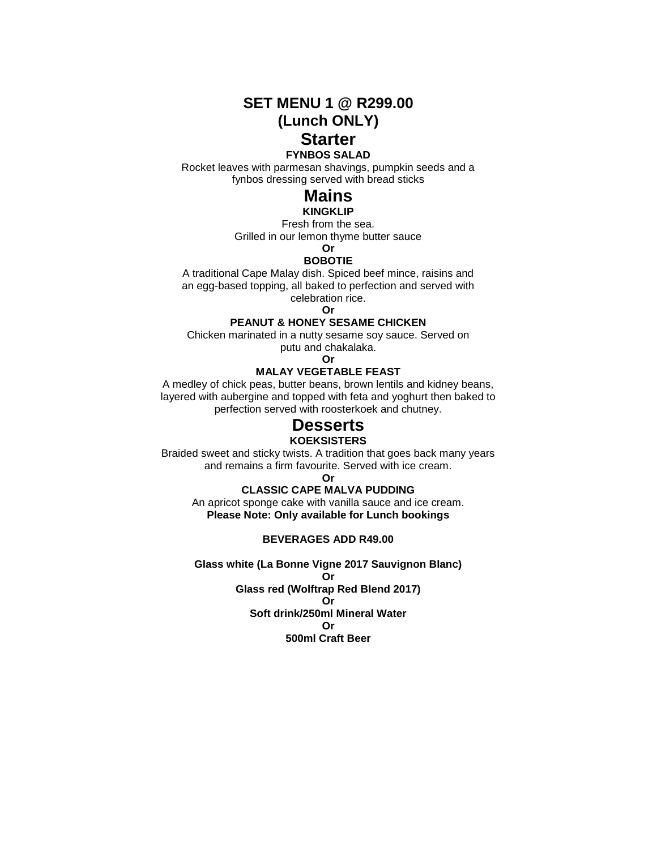**SET MENU 1 @ R299.00 (Lunch ONLY) Starter**

#### **FYNBOS SALAD**

Rocket leaves with parmesan shavings, pumpkin seeds and a fynbos dressing served with bread sticks

# **Mains**

# **KINGKLIP**

Fresh from the sea. Grilled in our lemon thyme butter sauce

#### **Or BOBOTIE**

A traditional Cape Malay dish. Spiced beef mince, raisins and an egg-based topping, all baked to perfection and served with celebration rice.

**Or**

### **PEANUT & HONEY SESAME CHICKEN**

Chicken marinated in a nutty sesame soy sauce. Served on putu and chakalaka.

**Or**

## **MALAY VEGETABLE FEAST**

A medley of chick peas, butter beans, brown lentils and kidney beans, layered with aubergine and topped with feta and yoghurt then baked to perfection served with roosterkoek and chutney.

# **Desserts**

#### **KOEKSISTERS**

Braided sweet and sticky twists. A tradition that goes back many years and remains a firm favourite. Served with ice cream.

**Or**

# **CLASSIC CAPE MALVA PUDDING**

An apricot sponge cake with vanilla sauce and ice cream. **Please Note: Only available for Lunch bookings**

#### **BEVERAGES ADD R49.00**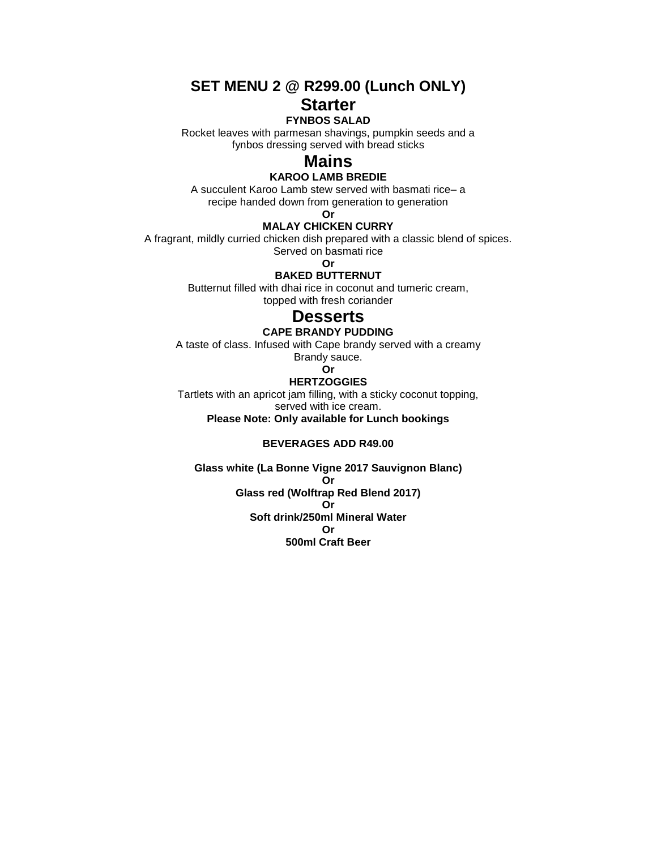# **SET MENU 2 @ R299.00 (Lunch ONLY) Starter**

# **FYNBOS SALAD**

Rocket leaves with parmesan shavings, pumpkin seeds and a fynbos dressing served with bread sticks

# **Mains**

## **KAROO LAMB BREDIE**

A succulent Karoo Lamb stew served with basmati rice– a recipe handed down from generation to generation

**Or**

# **MALAY CHICKEN CURRY**

A fragrant, mildly curried chicken dish prepared with a classic blend of spices. Served on basmati rice

**Or**

# **BAKED BUTTERNUT**

Butternut filled with dhai rice in coconut and tumeric cream, topped with fresh coriander

# **Desserts**

#### **CAPE BRANDY PUDDING**

A taste of class. Infused with Cape brandy served with a creamy Brandy sauce.

# **Or**

# **HERTZOGGIES**

Tartlets with an apricot jam filling, with a sticky coconut topping, served with ice cream.

**Please Note: Only available for Lunch bookings**

# **BEVERAGES ADD R49.00**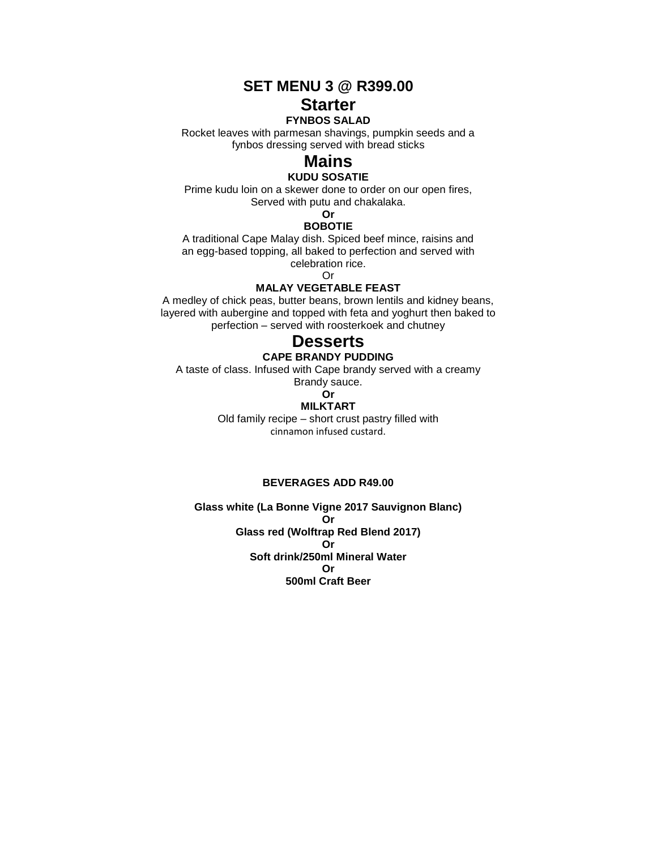**SET MENU 3 @ R399.00**

# **Starter**

# **FYNBOS SALAD**

Rocket leaves with parmesan shavings, pumpkin seeds and a fynbos dressing served with bread sticks

# **Mains**

# **KUDU SOSATIE**

Prime kudu loin on a skewer done to order on our open fires, Served with putu and chakalaka.

#### **Or BOBOTIE**

A traditional Cape Malay dish. Spiced beef mince, raisins and an egg-based topping, all baked to perfection and served with celebration rice.

Or

# **MALAY VEGETABLE FEAST**

A medley of chick peas, butter beans, brown lentils and kidney beans, layered with aubergine and topped with feta and yoghurt then baked to perfection – served with roosterkoek and chutney

# **Desserts**

### **CAPE BRANDY PUDDING**

A taste of class. Infused with Cape brandy served with a creamy

Brandy sauce. **Or**

# **MILKTART**

Old family recipe – short crust pastry filled with cinnamon infused custard.

#### **BEVERAGES ADD R49.00**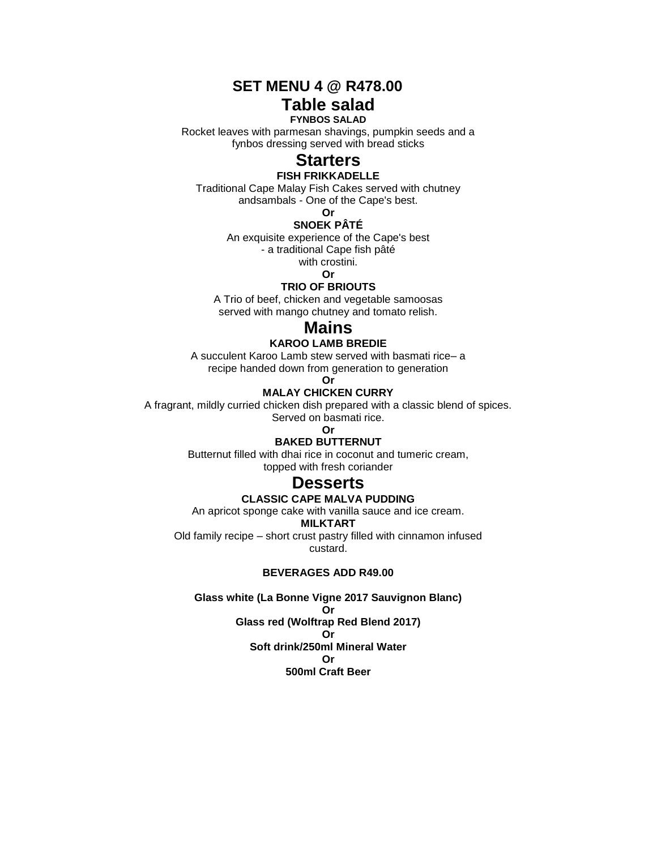**SET MENU 4 @ R478.00**

# **Table salad FYNBOS SALAD**

Rocket leaves with parmesan shavings, pumpkin seeds and a fynbos dressing served with bread sticks

# **Starters**

### **FISH FRIKKADELLE**

Traditional Cape Malay Fish Cakes served with chutney andsambals - One of the Cape's best.

**Or**

# **SNOEK PÂTÉ**

An exquisite experience of the Cape's best

- a traditional Cape fish pâté

with crostini.

#### **Or TRIO OF BRIOUTS**

A Trio of beef, chicken and vegetable samoosas served with mango chutney and tomato relish.

# **Mains**

# **KAROO LAMB BREDIE**

A succulent Karoo Lamb stew served with basmati rice– a recipe handed down from generation to generation

**Or**

# **MALAY CHICKEN CURRY**

A fragrant, mildly curried chicken dish prepared with a classic blend of spices.

Served on basmati rice.

**Or**

# **BAKED BUTTERNUT**

Butternut filled with dhai rice in coconut and tumeric cream, topped with fresh coriander

# **Desserts**

## **CLASSIC CAPE MALVA PUDDING**

An apricot sponge cake with vanilla sauce and ice cream.

### **MILKTART**

Old family recipe – short crust pastry filled with cinnamon infused custard.

## **BEVERAGES ADD R49.00**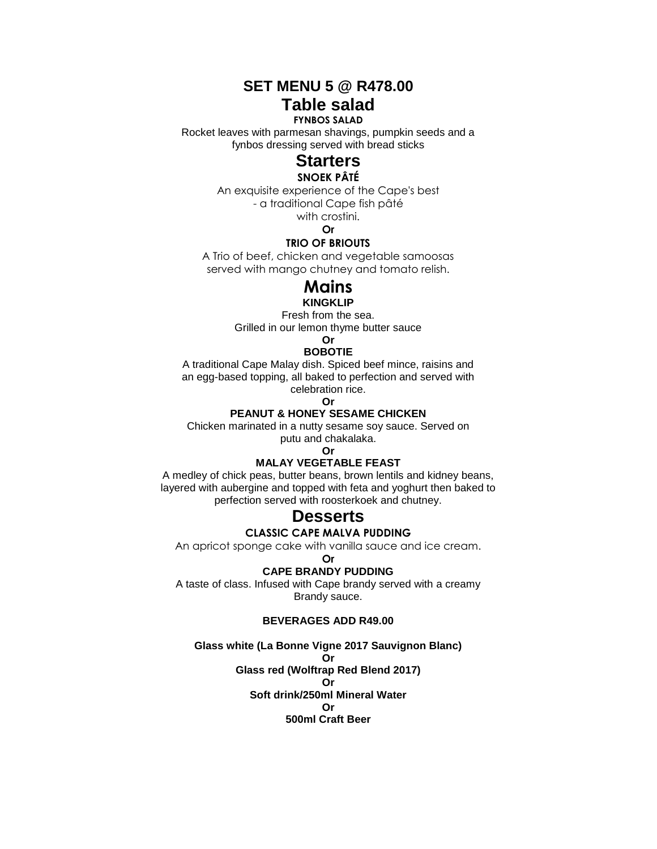**SET MENU 5 @ R478.00 Table salad**

### **FYNBOS SALAD**

Rocket leaves with parmesan shavings, pumpkin seeds and a fynbos dressing served with bread sticks

# **Starters**

# **SNOEK PÂTÉ**

An exquisite experience of the Cape's best - a traditional Cape fish pâté

with crostini.

**Or**

# **TRIO OF BRIOUTS**

A Trio of beef, chicken and vegetable samoosas served with mango chutney and tomato relish.

# **Mains**

**KINGKLIP**

Fresh from the sea. Grilled in our lemon thyme butter sauce

**Or**

# **BOBOTIE**

A traditional Cape Malay dish. Spiced beef mince, raisins and an egg-based topping, all baked to perfection and served with celebration rice.

**Or**

# **PEANUT & HONEY SESAME CHICKEN**

Chicken marinated in a nutty sesame soy sauce. Served on

putu and chakalaka. **Or**

# **MALAY VEGETABLE FEAST**

A medley of chick peas, butter beans, brown lentils and kidney beans, layered with aubergine and topped with feta and yoghurt then baked to perfection served with roosterkoek and chutney.

# **Desserts**

**CLASSIC CAPE MALVA PUDDING**

An apricot sponge cake with vanilla sauce and ice cream.

#### **Or**

**CAPE BRANDY PUDDING**

A taste of class. Infused with Cape brandy served with a creamy Brandy sauce.

# **BEVERAGES ADD R49.00**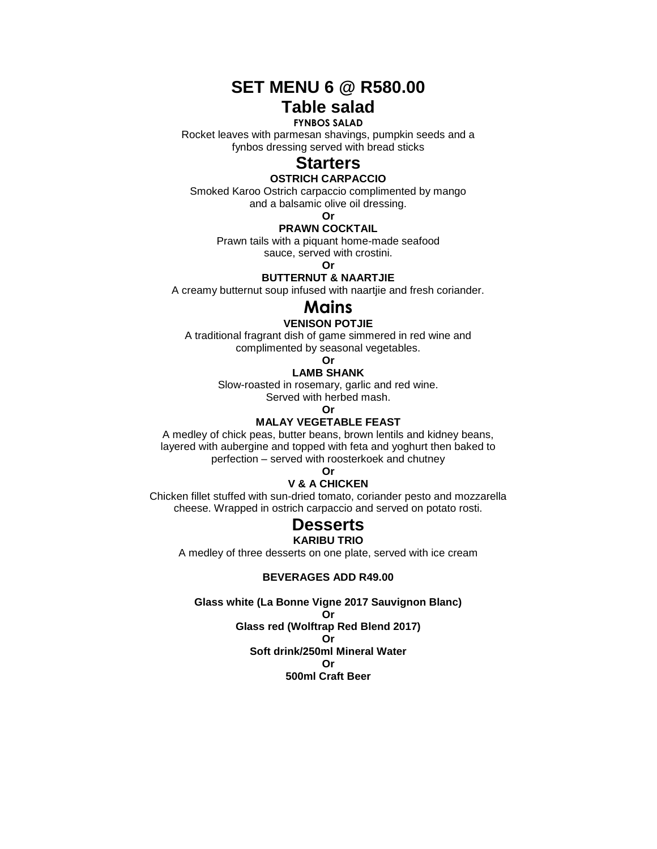# **SET MENU 6 @ R580.00 Table salad**

# **FYNBOS SALAD**

Rocket leaves with parmesan shavings, pumpkin seeds and a fynbos dressing served with bread sticks

# **Starters**

## **OSTRICH CARPACCIO**

Smoked Karoo Ostrich carpaccio complimented by mango and a balsamic olive oil dressing.

**Or**

#### **PRAWN COCKTAIL**

Prawn tails with a piquant home-made seafood

sauce, served with crostini.

**Or**

# **BUTTERNUT & NAARTJIE**

A creamy butternut soup infused with naartjie and fresh coriander.

# **Mains**

# **VENISON POTJIE**

A traditional fragrant dish of game simmered in red wine and complimented by seasonal vegetables.

# **Or**

**LAMB SHANK**

Slow-roasted in rosemary, garlic and red wine.

Served with herbed mash.

**Or**

## **MALAY VEGETABLE FEAST**

A medley of chick peas, butter beans, brown lentils and kidney beans, layered with aubergine and topped with feta and yoghurt then baked to perfection – served with roosterkoek and chutney

**Or**

# **V & A CHICKEN**

Chicken fillet stuffed with sun-dried tomato, coriander pesto and mozzarella cheese. Wrapped in ostrich carpaccio and served on potato rosti.

# **Desserts**

## **KARIBU TRIO**

A medley of three desserts on one plate, served with ice cream

### **BEVERAGES ADD R49.00**

**Glass white (La Bonne Vigne 2017 Sauvignon Blanc)**

**Or**

**Glass red (Wolftrap Red Blend 2017) Or Soft drink/250ml Mineral Water**

**Or** 

**500ml Craft Beer**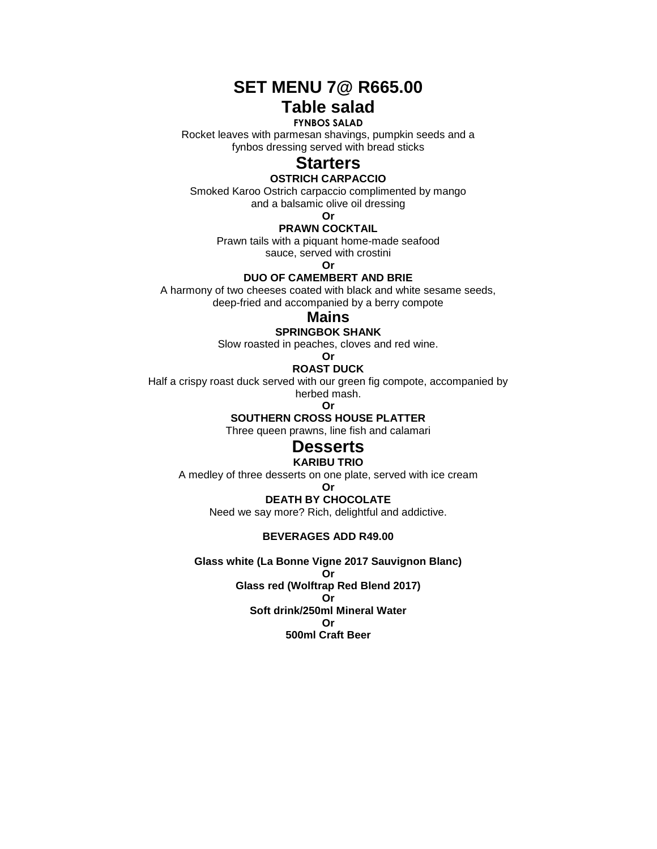# **SET MENU 7@ R665.00 Table salad**

# **FYNBOS SALAD**

Rocket leaves with parmesan shavings, pumpkin seeds and a fynbos dressing served with bread sticks

# **Starters**

# **OSTRICH CARPACCIO**

Smoked Karoo Ostrich carpaccio complimented by mango

and a balsamic olive oil dressing

**Or**

# **PRAWN COCKTAIL**

Prawn tails with a piquant home-made seafood

sauce, served with crostini

**Or**

# **DUO OF CAMEMBERT AND BRIE**

A harmony of two cheeses coated with black and white sesame seeds, deep-fried and accompanied by a berry compote

# **Mains**

### **SPRINGBOK SHANK**

Slow roasted in peaches, cloves and red wine.

**Or**

# **ROAST DUCK**

Half a crispy roast duck served with our green fig compote, accompanied by herbed mash.

**Or**

# **SOUTHERN CROSS HOUSE PLATTER**

Three queen prawns, line fish and calamari

# **Desserts**

# **KARIBU TRIO**

A medley of three desserts on one plate, served with ice cream

**Or**

# **DEATH BY CHOCOLATE**

Need we say more? Rich, delightful and addictive.

# **BEVERAGES ADD R49.00**

**Glass white (La Bonne Vigne 2017 Sauvignon Blanc)**

**Or Glass red (Wolftrap Red Blend 2017) Or**

**Soft drink/250ml Mineral Water Or 500ml Craft Beer**